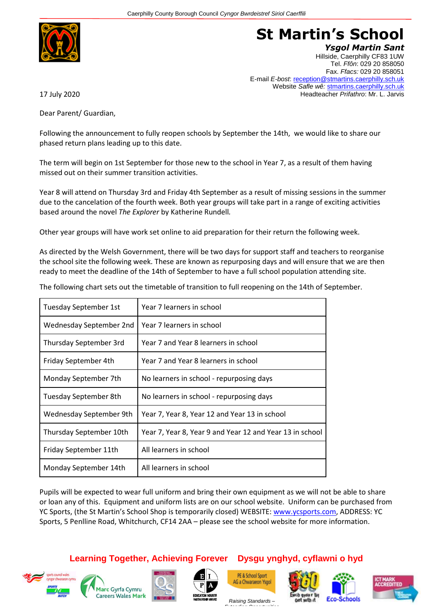

## **St Martin's School**

*Ysgol Martin Sant* Hillside, Caerphilly CF83 1UW Tel. *Ffôn*: 029 20 858050 Fax. *Ffacs:* 029 20 858051 E-mail *E-bost*: reception@stmartins.caerphilly.sch.uk Website *Safle wê:* stmartins.caerphilly.sch.uk Headteacher *Prifathro*: Mr. L. Jarvis

17 July 2020

Dear Parent/ Guardian,

Following the announcement to fully reopen schools by September the 14th, we would like to share our phased return plans leading up to this date.

The term will begin on 1st September for those new to the school in Year 7, as a result of them having missed out on their summer transition activities.

Year 8 will attend on Thursday 3rd and Friday 4th September as a result of missing sessions in the summer due to the cancelation of the fourth week. Both year groups will take part in a range of exciting activities based around the novel *The Explorer* by Katherine Rundell*.*

Other year groups will have work set online to aid preparation for their return the following week.

As directed by the Welsh Government, there will be two days for support staff and teachers to reorganise the school site the following week. These are known as repurposing days and will ensure that we are then ready to meet the deadline of the 14th of September to have a full school population attending site.

| The following chart sets out the timetable of transition to full reopening on the 14th of September. |  |
|------------------------------------------------------------------------------------------------------|--|
|------------------------------------------------------------------------------------------------------|--|

| Tuesday September 1st   | Year 7 learners in school                                |
|-------------------------|----------------------------------------------------------|
| Wednesday September 2nd | Year 7 learners in school                                |
| Thursday September 3rd  | Year 7 and Year 8 learners in school                     |
| Friday September 4th    | Year 7 and Year 8 learners in school                     |
| Monday September 7th    | No learners in school - repurposing days                 |
| Tuesday September 8th   | No learners in school - repurposing days                 |
| Wednesday September 9th | Year 7, Year 8, Year 12 and Year 13 in school            |
| Thursday September 10th | Year 7, Year 8, Year 9 and Year 12 and Year 13 in school |
| Friday September 11th   | All learners in school                                   |
| Monday September 14th   | All learners in school                                   |

Pupils will be expected to wear full uniform and bring their own equipment as we will not be able to share or loan any of this. Equipment and uniform lists are on our school website. Uniform can be purchased from YC Sports, (the St Martin's School Shop is temporarily closed) WEBSITE[: www.ycsports.com,](http://www.ycsports.com/) ADDRESS: YC Sports, 5 Penlline Road, Whitchurch, CF14 2AA – please see the school website for more information.

**Learning Together, Achieving Forever Dysgu ynghyd, cyflawni o hyd**

















*Raising Standards – Extending Opportunities*